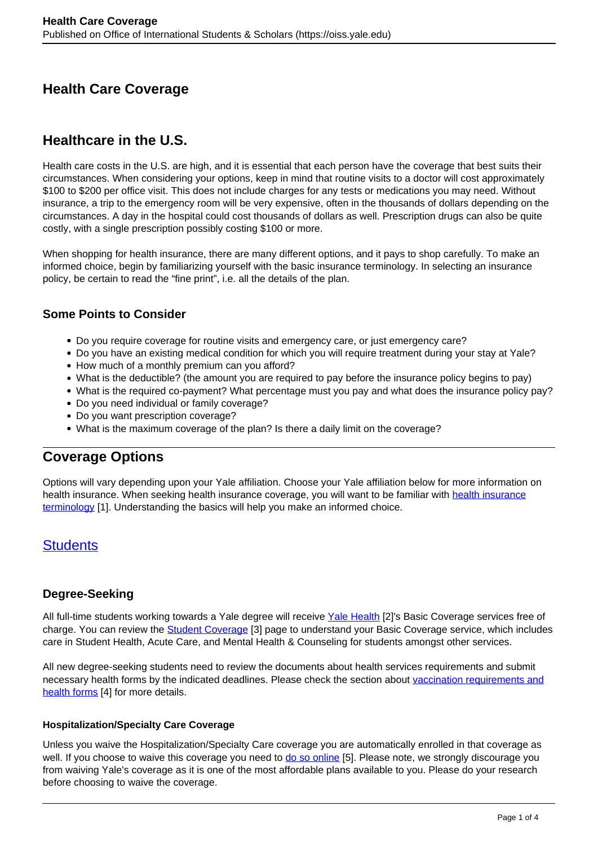# **Health Care Coverage**

# **Healthcare in the U.S.**

Health care costs in the U.S. are high, and it is essential that each person have the coverage that best suits their circumstances. When considering your options, keep in mind that routine visits to a doctor will cost approximately \$100 to \$200 per office visit. This does not include charges for any tests or medications you may need. Without insurance, a trip to the emergency room will be very expensive, often in the thousands of dollars depending on the circumstances. A day in the hospital could cost thousands of dollars as well. Prescription drugs can also be quite costly, with a single prescription possibly costing \$100 or more.

When shopping for health insurance, there are many different options, and it pays to shop carefully. To make an informed choice, begin by familiarizing yourself with the basic insurance terminology. In selecting an insurance policy, be certain to read the "fine print", i.e. all the details of the plan.

### **Some Points to Consider**

- Do you require coverage for routine visits and emergency care, or just emergency care?
- Do you have an existing medical condition for which you will require treatment during your stay at Yale?
- How much of a monthly premium can you afford?
- What is the deductible? (the amount you are required to pay before the insurance policy begins to pay)
- What is the required co-payment? What percentage must you pay and what does the insurance policy pay?
- Do you need individual or family coverage?
- Do you want prescription coverage?
- What is the maximum coverage of the plan? Is there a daily limit on the coverage?

## **Coverage Options**

Options will vary depending upon your Yale affiliation. Choose your Yale affiliation below for more information on health insurance. When seeking [health insurance](https://www.healthcare.gov/glossary/) coverage, you will want to be familiar with health insurance [terminology](https://www.healthcare.gov/glossary/) [1]. Understanding the basics will help you make an informed choice.

## **Students**

## **Degree-Seeking**

All full-time students working towards a Yale degree will receive Yale Health [2]'s Basic Coverage services free of charge. You can review the **Student Coverage** [3] page to understand your Basic Coverage service, which includes care in Student Health, Acute Care, and Mental Health & Counseling for students amongst other services.

All new degree-seeking students need to review the documents about health services requirements and submit necessary health forms by the indicated deadlines. Please check the section about vaccination requirements and health forms [4] for more details.

#### **Hospitalization/Specialty Care Coverage**

Unless you waive the Hospitalization/Specialty Care coverage you are automatically enrolled in that coverage as well. If you choose to waive this coverage you need to do so online [5]. Please note, we strongly discourage you from waiving Yale's coverage as it is one of the most affordable plans available to you. Please do your research before choosing to waive the coverage.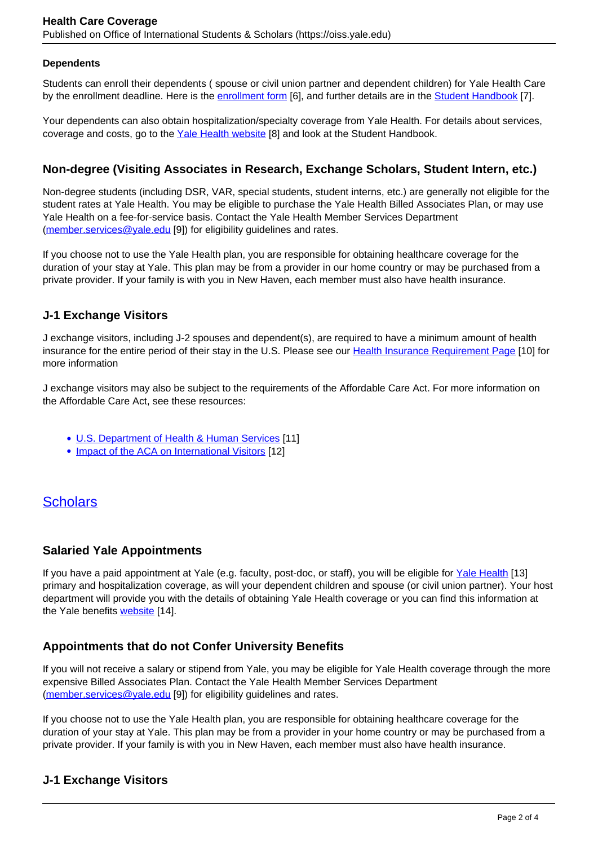#### **Dependents**

Students can enroll their dependents ( spouse or civil union partner and dependent children) for Yale Health Care by the enrollment deadline. Here is the enrollment form [6], and further details are in the Student Handbook [7].

Your dependents can also obtain hospitalization/specialty coverage from Yale Health. For details about services, coverage and costs, go to the Yale Health website [8] and look at the Student Handbook.

### **Non-degree (Visiting Associates in Research, Exchange Scholars, Student Intern, etc.)**

Non-degree students (including DSR, VAR, special students, student interns, etc.) are generally not eligible for the student rates at Yale Health. You may be eligible to purchase the Yale Health Billed Associates Plan, or may use Yale Health on a fee-for-service basis. Contact the Yale Health Member Services Department (member.services@yale.edu [9]) for eligibility guidelines and rates.

If you choose not to use the Yale Health plan, you are responsible for obtaining healthcare coverage for the duration of your stay at Yale. This plan may be from a provider in our home country or may be purchased from a private provider. If your family is with you in New Haven, each member must also have health insurance.

### **J-1 Exchange Visitors**

J exchange visitors, including J-2 spouses and dependent(s), are required to have a minimum amount of health insurance for the entire period of their stay in the U.S. Please see our Health Insurance Requirement Page [10] for more information

J exchange visitors may also be subject to the requirements of the Affordable Care Act. For more information on the Affordable Care Act, see these resources:

- U.S. Department of Health & Human Services [11]
- Impact of the ACA on International Visitors [12]

## **Scholars**

#### **Salaried Yale Appointments**

If you have a paid appointment at Yale (e.g. faculty, post-doc, or staff), you will be eligible for Yale Health [13] primary and hospitalization coverage, as will your dependent children and spouse (or civil union partner). Your host department will provide you with the details of obtaining Yale Health coverage or you can find this information at the Yale benefits website [14].

#### **Appointments that do not Confer University Benefits**

If you will not receive a salary or stipend from Yale, you may be eligible for Yale Health coverage through the more expensive Billed Associates Plan. Contact the Yale Health Member Services Department (member.services@yale.edu [9]) for eligibility guidelines and rates.

If you choose not to use the Yale Health plan, you are responsible for obtaining healthcare coverage for the duration of your stay at Yale. This plan may be from a provider in your home country or may be purchased from a private provider. If your family is with you in New Haven, each member must also have health insurance.

## **J-1 Exchange Visitors**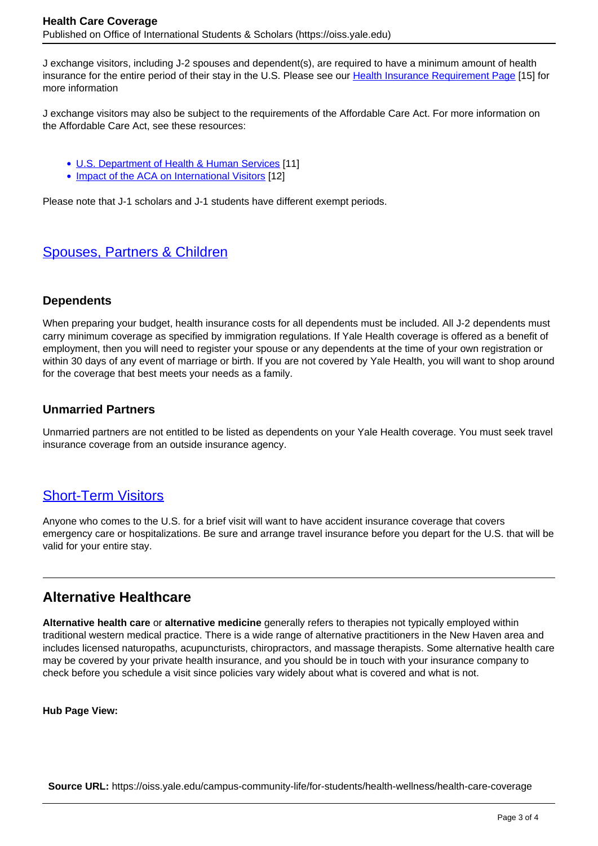J exchange visitors, including J-2 spouses and dependent(s), are required to have a minimum amount of health insurance for the entire period of their stay in the U.S. Please see our Health Insurance Requirement Page [15] for more information

J exchange visitors may also be subject to the requirements of the Affordable Care Act. For more information on the Affordable Care Act, see these resources:

- U.S. Department of Health & Human Services [11]
- Impact of the ACA on International Visitors [12]

Please note that J-1 scholars and J-1 students have different exempt periods.

## Spouses, Partners & Children

#### **Dependents**

When preparing your budget, health insurance costs for all dependents must be included. All J-2 dependents must carry minimum coverage as specified by immigration regulations. If Yale Health coverage is offered as a benefit of employment, then you will need to register your spouse or any dependents at the time of your own registration or within 30 days of any event of marriage or birth. If you are not covered by Yale Health, you will want to shop around for the coverage that best meets your needs as a family.

#### **Unmarried Partners**

Unmarried partners are not entitled to be listed as dependents on your Yale Health coverage. You must seek travel insurance coverage from an outside insurance agency.

# Short-Term Visitors

Anyone who comes to the U.S. for a brief visit will want to have accident insurance coverage that covers emergency care or hospitalizations. Be sure and arrange travel insurance before you depart for the U.S. that will be valid for your entire stay.

## **Alternative Healthcare**

**Alternative health care** or **alternative medicine** generally refers to therapies not typically employed within traditional western medical practice. There is a wide range of alternative practitioners in the New Haven area and includes licensed naturopaths, acupuncturists, chiropractors, and massage therapists. Some alternative health care may be covered by your private health insurance, and you should be in touch with your insurance company to check before you schedule a visit since policies vary widely about what is covered and what is not.

**Hub Page View:** 

**Source URL:** https://oiss.yale.edu/campus-community-life/for-students/health-wellness/health-care-coverage